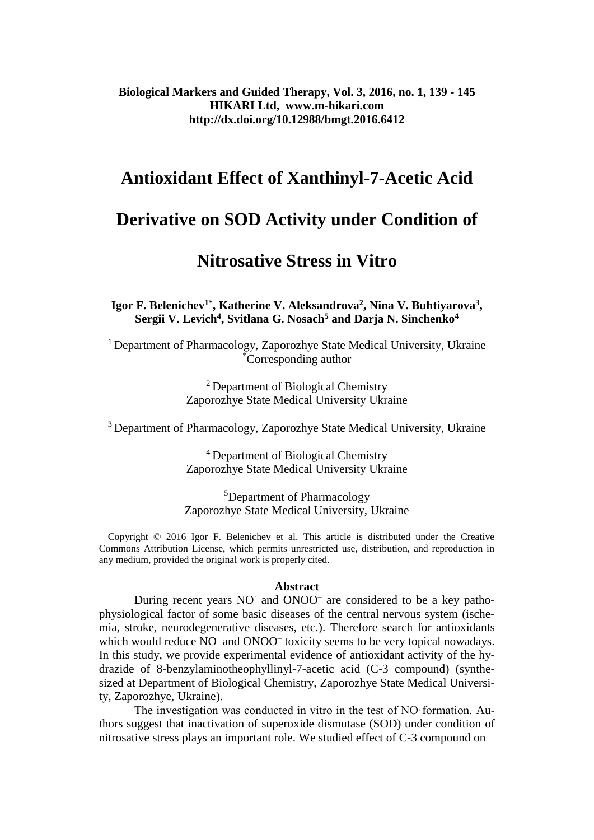**Biological Markers and Guided Therapy, Vol. 3, 2016, no. 1, 139 - 145 HIKARI Ltd, www.m-hikari.com http://dx.doi.org/10.12988/bmgt.2016.6412**

# **Antioxidant Effect of Xanthinyl-7-Acetic Acid**

# **Derivative on SOD Activity under Condition of**

# **Nitrosative Stress in Vitro**

**Igor F. Belenichev1\* , Katherine V. Aleksandrova<sup>2</sup> , Nina V. Buhtiyarova<sup>3</sup> , Sergii V. Levich<sup>4</sup> , Svitlana G. Nosach<sup>5</sup> and Darja N. Sinchenko<sup>4</sup>**

<sup>1</sup> Department of Pharmacology, Zaporozhye State Medical University, Ukraine \*Corresponding author

> <sup>2</sup> Department of Biological Chemistry Zaporozhye State Medical University Ukraine

<sup>3</sup> Department of Pharmacology, Zaporozhye State Medical University, Ukraine

<sup>4</sup> Department of Biological Chemistry Zaporozhye State Medical University Ukraine

<sup>5</sup>Department of Pharmacology Zaporozhye State Medical University, Ukraine

 Copyright © 2016 Igor F. Belenichev et al. This article is distributed under the Creative Commons Attribution License, which permits unrestricted use, distribution, and reproduction in any medium, provided the original work is properly cited.

#### **Abstract**

During recent years NO and ONOO<sup>-</sup> are considered to be a key pathophysiological factor of some basic diseases of the central nervous system (ischemia, stroke, neurodegenerative diseases, etc.). Therefore search for antioxidants which would reduce NO and ONOO<sup>-</sup> toxicity seems to be very topical nowadays. In this study, we provide experimental evidence of antioxidant activity of the hydrazide of 8-benzylaminotheophyllinyl-7-acetic acid (C-3 compound) (synthesized at Department of Biological Chemistry, Zaporozhye State Medical University, Zaporozhye, Ukraine).

The investigation was conducted in vitro in the test of NO·formation. Authors suggest that inactivation of superoxide dismutase (SOD) under condition of nitrosative stress plays an important role. We studied effect of C-3 compound on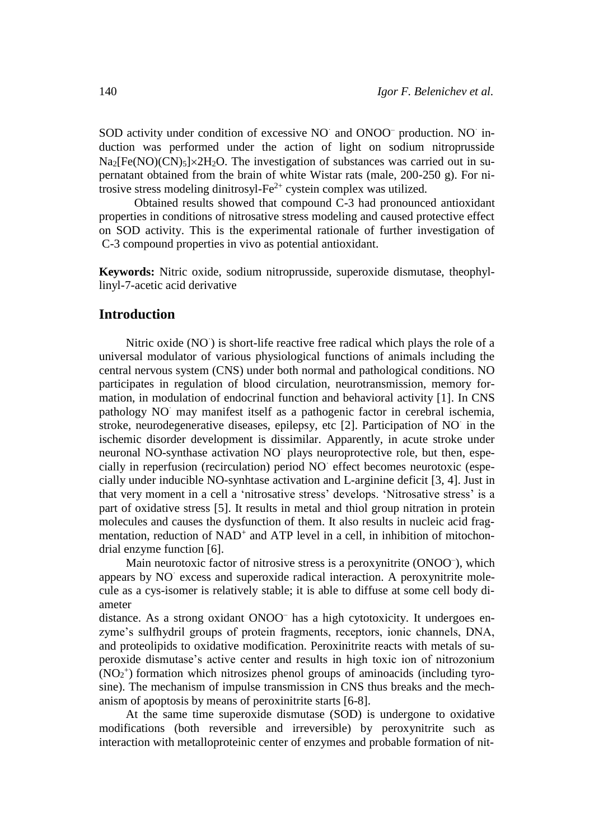SOD activity under condition of excessive NO and ONOO<sup>-</sup> production. NO induction was performed under the action of light on sodium nitroprusside  $Na<sub>2</sub>[Fe(NO)(CN)<sub>5</sub>] \times 2H<sub>2</sub>O$ . The investigation of substances was carried out in supernatant obtained from the brain of white Wistar rats (male, 200-250 g). For nitrosive stress modeling dinitrosyl- $Fe^{2+}$  cystein complex was utilized.

Obtained results showed that compound C-3 had pronounced antioxidant properties in conditions of nitrosative stress modeling and caused protective effect on SOD activity. This is the experimental rationale of further investigation of C-3 compound properties in vivo as potential antioxidant.

**Keywords:** Nitric oxide, sodium nitroprusside, superoxide dismutase, theophyllinyl-7-acetic acid derivative

### **Introduction**

Nitric oxide (NO) is short-life reactive free radical which plays the role of a universal modulator of various physiological functions of animals including the central nervous system (CNS) under both normal and pathological conditions. NO participates in regulation of blood circulation, neurotransmission, memory formation, in modulation of endocrinal function and behavioral activity [1]. In CNS pathology NO· may manifest itself as a pathogenic factor in cerebral ischemia, stroke, neurodegenerative diseases, epilepsy, etc [2]. Participation of NO· in the ischemic disorder development is dissimilar. Apparently, in acute stroke under neuronal NO-synthase activation NO· plays neuroprotective role, but then, especially in reperfusion (recirculation) period NO· effect becomes neurotoxic (especially under inducible NO-synhtase activation and L-arginine deficit [3, 4]. Just in that very moment in a cell a 'nitrosative stress' develops. 'Nitrosative stress' is a part of oxidative stress [5]. It results in metal and thiol group nitration in protein molecules and causes the dysfunction of them. It also results in nucleic acid fragmentation, reduction of NAD<sup>+</sup> and ATP level in a cell, in inhibition of mitochondrial enzyme function [6].

Main neurotoxic factor of nitrosive stress is a peroxynitrite (ONOO<sup>-</sup>), which appears by NO excess and superoxide radical interaction. A peroxynitrite molecule as a cys-isomer is relatively stable; it is able to diffuse at some cell body diameter

distance. As a strong oxidant ONOO<sup>-</sup> has a high cytotoxicity. It undergoes enzyme's sulfhydril groups of protein fragments, receptors, ionic channels, DNA, and proteolipids to oxidative modification. Peroxinitrite reacts with metals of superoxide dismutase's active center and results in high toxic ion of nitrozonium  $(NO<sub>2</sub><sup>+</sup>)$  formation which nitrosizes phenol groups of aminoacids (including tyrosine). The mechanism of impulse transmission in CNS thus breaks and the mechanism of apoptosis by means of peroxinitrite starts [6-8].

At the same time superoxide dismutase (SOD) is undergone to oxidative modifications (both reversible and irreversible) by peroxynitrite such as interaction with metalloproteinic center of enzymes and probable formation of nit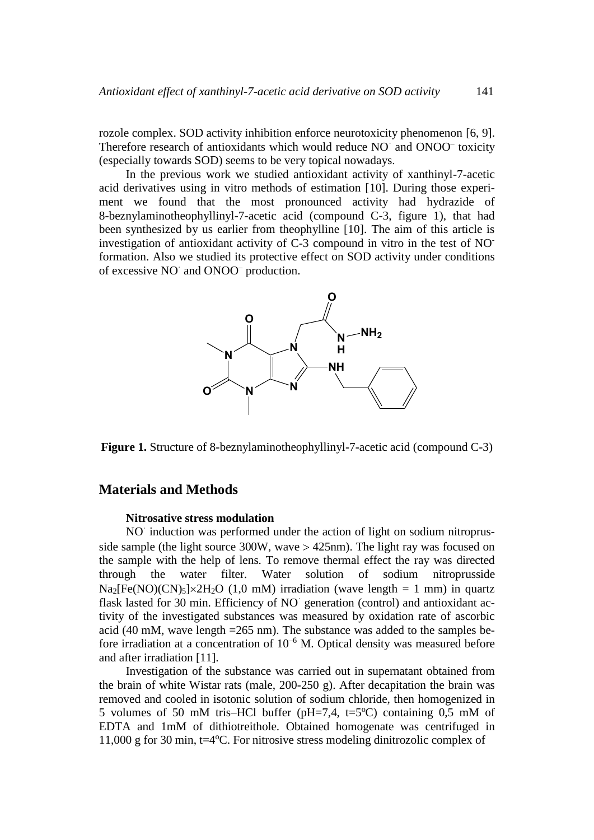rozole complex. SOD activity inhibition enforce neurotoxicity phenomenon [6, 9]. Therefore research of antioxidants which would reduce NO and ONOO<sup>-</sup> toxicity (especially towards SOD) seems to be very topical nowadays.

In the previous work we studied antioxidant activity of xanthinyl-7-acetic acid derivatives using in vitro methods of estimation [10]. During those experiment we found that the most pronounced activity had hydrazide of 8-beznylaminotheophyllinyl-7-acetic acid (compound C-3, figure 1), that had been synthesized by us earlier from theophylline [10]. The aim of this article is investigation of antioxidant activity of C-3 compound in vitro in the test of NOformation. Also we studied its protective effect on SOD activity under conditions of excessive NO and ONOO<sup>-</sup> production.



**Figure 1.** Structure of 8-beznylaminotheophyllinyl-7-acetic acid (compound C-3)

## **Materials and Methods**

#### **Nitrosative stress modulation**

NO induction was performed under the action of light on sodium nitroprusside sample (the light source  $300W$ , wave  $> 425$ nm). The light ray was focused on the sample with the help of lens. To remove thermal effect the ray was directed through the water filter. Water solution of sodium nitroprusside  $Na<sub>2</sub>[Fe(NO)(CN)<sub>5</sub>] \times 2H<sub>2</sub>O (1.0 mM) irradiation (wave length = 1 mm) in quartz$ flask lasted for 30 min. Efficiency of NO generation (control) and antioxidant activity of the investigated substances was measured by oxidation rate of ascorbic acid (40 mM, wave length =265 nm). The substance was added to the samples before irradiation at a concentration of  $10^{-6}$  M. Optical density was measured before and after irradiation [11].

Investigation of the substance was carried out in supernatant obtained from the brain of white Wistar rats (male, 200-250 g). After decapitation the brain was removed and cooled in isotonic solution of sodium chloride, then homogenized in 5 volumes of 50 mM tris–HCl buffer (pH=7,4, t=5 $^{\circ}$ C) containing 0,5 mM of EDTA and 1mM of dithiotreithole. Obtained homogenate was centrifuged in 11,000 g for 30 min,  $t=4$ °C. For nitrosive stress modeling dinitrozolic complex of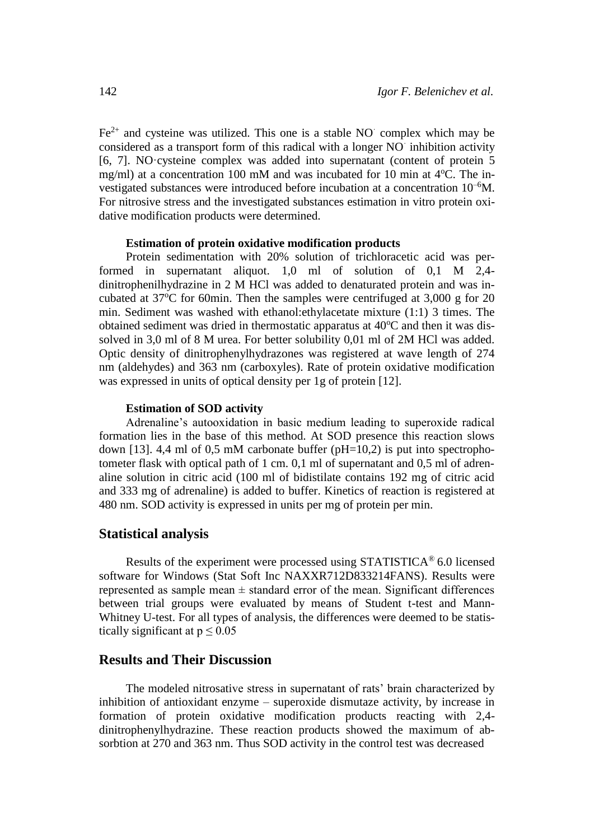$Fe<sup>2+</sup>$  and cysteine was utilized. This one is a stable NO complex which may be considered as a transport form of this radical with a longer NO· inhibition activity [6, 7]. NO·cysteine complex was added into supernatant (content of protein 5 mg/ml) at a concentration 100 mM and was incubated for 10 min at  $4^{\circ}$ C. The investigated substances were introduced before incubation at a concentration 10–6M. For nitrosive stress and the investigated substances estimation in vitro protein oxidative modification products were determined.

#### **Estimation of protein oxidative modification products**

Protein sedimentation with 20% solution of trichloracetic acid was performed in supernatant aliquot. 1,0 ml of solution of 0,1 M 2,4 dinitrophenilhydrazine in 2 M HCl was added to denaturated protein and was incubated at  $37^{\circ}$ C for 60min. Then the samples were centrifuged at  $3,000$  g for 20 min. Sediment was washed with ethanol:ethylacetate mixture (1:1) 3 times. The obtained sediment was dried in thermostatic apparatus at  $40^{\circ}$ C and then it was dissolved in 3,0 ml of 8 M urea. For better solubility 0,01 ml of 2M HCl was added. Optic density of dinitrophenylhydrazones was registered at wave length of 274 nm (aldehydes) and 363 nm (carboxyles). Rate of protein oxidative modification was expressed in units of optical density per 1g of protein [12].

#### **Estimation of SOD activity**

Adrenaline's autooxidation in basic medium leading to superoxide radical formation lies in the base of this method. At SOD presence this reaction slows down [13]. 4,4 ml of 0,5 mM carbonate buffer ( $pH=10,2$ ) is put into spectrophotometer flask with optical path of 1 cm. 0,1 ml of supernatant and 0,5 ml of adrenaline solution in citric acid (100 ml of bidistilate contains 192 mg of citric acid and 333 mg of adrenaline) is added to buffer. Kinetics of reaction is registered at 480 nm. SOD activity is expressed in units per mg of protein per min.

### **Statistical analysis**

Results of the experiment were processed using STATISTICA® 6.0 licensed software for Windows (Stat Soft Inc NAXXR712D833214FANS). Results were represented as sample mean  $\pm$  standard error of the mean. Significant differences between trial groups were evaluated by means of Student t-test and Mann-Whitney U-test. For all types of analysis, the differences were deemed to be statistically significant at  $p \le 0.05$ 

# **Results and Their Discussion**

The modeled nitrosative stress in supernatant of rats' brain characterized by inhibition of antioxidant enzyme – superoxide dismutaze activity, by increase in formation of protein oxidative modification products reacting with 2,4 dinitrophenylhydrazine. These reaction products showed the maximum of absorbtion at 270 and 363 nm. Thus SOD activity in the control test was decreased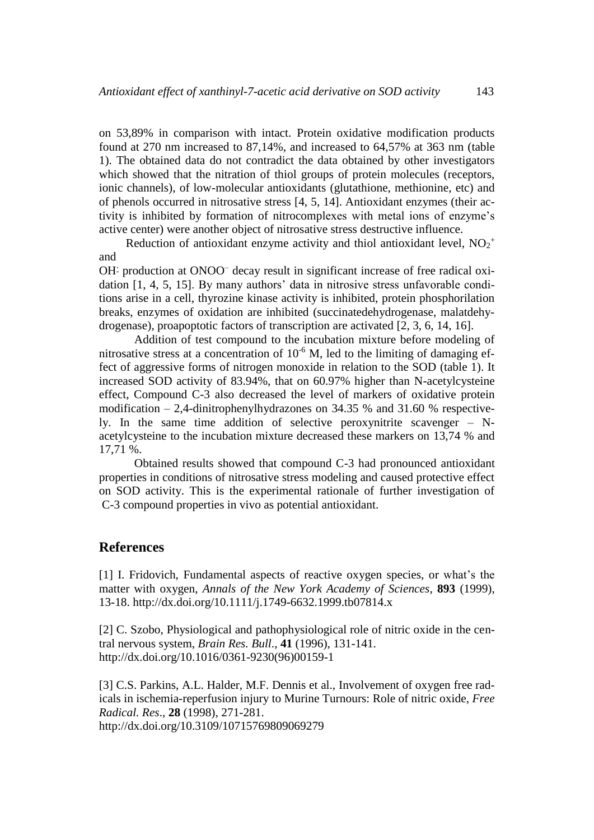on 53,89% in comparison with intact. Protein oxidative modification products found at 270 nm increased to 87,14%, and increased to 64,57% at 363 nm (table 1). The obtained data do not contradict the data obtained by other investigators which showed that the nitration of thiol groups of protein molecules (receptors, ionic channels), of low-molecular antioxidants (glutathione, methionine, etc) and of phenols occurred in nitrosative stress [4, 5, 14]. Antioxidant enzymes (their activity is inhibited by formation of nitrocomplexes with metal ions of enzyme's active center) were another object of nitrosative stress destructive influence.

Reduction of antioxidant enzyme activity and thiol antioxidant level,  $NO_2^+$ and

OH- production at ONOO<sup>-</sup> decay result in significant increase of free radical oxidation [1, 4, 5, 15]. By many authors' data in nitrosive stress unfavorable conditions arise in a cell, thyrozine kinase activity is inhibited, protein phosphorilation breaks, enzymes of oxidation are inhibited (succinatedehydrogenase, malatdehydrogenase), proapoptotic factors of transcription are activated [2, 3, 6, 14, 16].

Addition of test compound to the incubation mixture before modeling of nitrosative stress at a concentration of  $10^{-6}$  M, led to the limiting of damaging effect of aggressive forms of nitrogen monoxide in relation to the SOD (table 1). It increased SOD activity of 83.94%, that on 60.97% higher than N-acetylcysteine effect, Compound C-3 also decreased the level of markers of oxidative protein modification – 2,4-dinitrophenylhydrazones on 34.35 % and 31.60 % respectively. In the same time addition of selective peroxynitrite scavenger – Nacetylcysteine to the incubation mixture decreased these markers on 13,74 % and 17,71 %.

Obtained results showed that compound C-3 had pronounced antioxidant properties in conditions of nitrosative stress modeling and caused protective effect on SOD activity. This is the experimental rationale of further investigation of C-3 compound properties in vivo as potential antioxidant.

## **References**

[1] I. Fridovich, Fundamental aspects of reactive oxygen species, or what's the matter with oxygen, *Annals of the New York Academy of Sciences*, **893** (1999), 13-18. <http://dx.doi.org/10.1111/j.1749-6632.1999.tb07814.x>

[2] C. Szobo, Physiological and pathophysiological role of nitric oxide in the central nervous system, *Brain Res. Bull*., **41** (1996), 131-141. [http://dx.doi.org/10.1016/0361-9230\(96\)00159-1](http://dx.doi.org/10.1016/0361-9230(96)00159-1)

[3] C.S. Parkins, A.L. Halder, M.F. Dennis et al., Involvement of oxygen free radicals in ischemia-reperfusion injury to Murine Turnours: Role of nitric oxide, *Free Radical. Res*., **28** (1998), 271-281. [http://dx.doi.org/10.3109/10715769809069279](http://dx.doi.org/10.3109/10715769809069279 )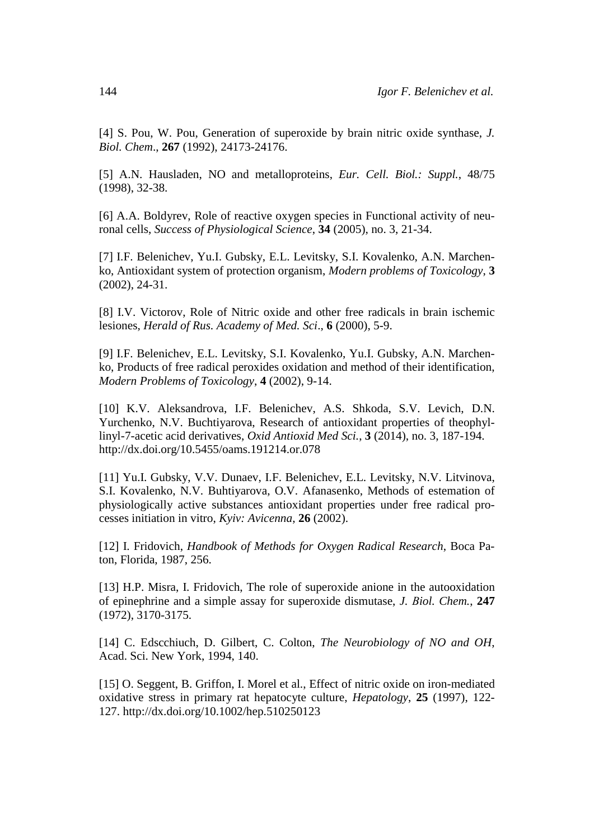[4] S. Pou, W. Pou, Generation of superoxide by brain nitric oxide synthase, *J. Biol. Chem*., **267** (1992), 24173-24176.

[5] A.N. Hausladen, NO and metalloproteins, *Eur. Cell. Biol.: Suppl.*, 48/75 (1998), 32-38.

[6] A.A. Boldyrev, Role of reactive oxygen species in Functional activity of neuronal cells, *Success of Physiological Science*, **34** (2005), no. 3, 21-34.

[7] I.F. Belenichev, Yu.I. Gubsky, E.L. Levitsky, S.I. Kovalenko, A.N. Marchenko, Antioxidant system of protection organism, *Modern problems of Toxicology*, **3** (2002), 24-31.

[8] I.V. Victorov, Role of Nitric oxide and other free radicals in brain ischemic lesiones, *Herald of Rus. Academy of Med. Sci*., **6** (2000), 5-9.

[9] I.F. Belenichev, E.L. Levitsky, S.I. Kovalenko, Yu.I. Gubsky, A.N. Marchenko, Products of free radical peroxides oxidation and method of their identification, *Modern Problems of Toxicology*, **4** (2002), 9-14.

[10] K.V. Aleksandrova, I.F. Belenichev, A.S. Shkoda, S.V. Levich, D.N. Yurchenko, N.V. Buchtiyarova, Research of antioxidant properties of theophyllinyl-7-acetic acid derivatives, *[Oxid Antioxid Med Sci.](http://www.scopemed.org/?jid=65)*, **3** [\(2014\), no. 3,](http://oamsjournal.com/?jid=65&iid=2014-3-3.000) 187-194. <http://dx.doi.org/10.5455/oams.191214.or.078>

[11] Yu.I. Gubsky, V.V. Dunaev, I.F. Belenichev, E.L. Levitsky, N.V. Litvinova, S.I. Kovalenko, N.V. Buhtiyarova, O.V. Afanasenko, Methods of estemation of physiologically active substances antioxidant properties under free radical processes initiation in vitro, *Kyiv: Avicenna*, **26** (2002).

[12] I. Fridovich, *Handbook of Methods for Oxygen Radical Research*, Boca Paton, Florida, 1987, 256.

[13] H.P. Misra, I. Fridovich, The role of superoxide anione in the autooxidation of epinephrine and a simple assay for superoxide dismutase, *J. Вiol. Chem.*, **247** (1972), 3170-3175.

[14] C. Edscchiuch, D. Gilbert, C. Colton, *The Neurobiology of NO and OH*, Acad. Sci. New York, 1994, 140.

[15] O. Seggent, B. Griffon, I. Morel et al., Effect of nitric oxide on iron-mediated oxidative stress in primary rat hepatocyte culture, *Hepatology*, **25** (1997), 122- 127. <http://dx.doi.org/10.1002/hep.510250123>